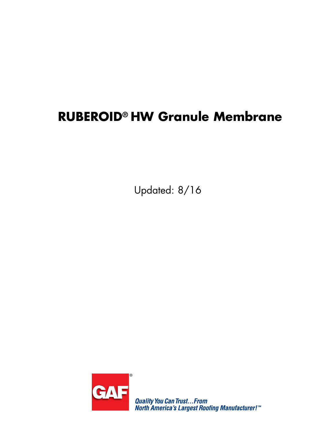# **RUBEROID® HW Granule Membrane**

Updated: 8/16



Quality You Can Trust...From<br>North America's Largest Roofing Manufacturer!™